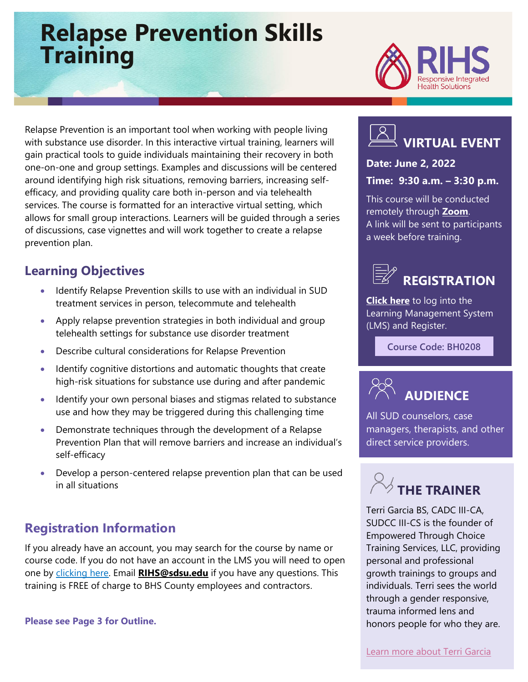## **Relapse Prevention Skills Training**



Relapse Prevention is an important tool when working with people living with substance use disorder. In this interactive virtual training, learners will gain practical tools to guide individuals maintaining their recovery in both one-on-one and group settings. Examples and discussions will be centered around identifying high risk situations, removing barriers, increasing selfefficacy, and providing quality care both in-person and via telehealth services. The course is formatted for an interactive virtual setting, which allows for small group interactions. Learners will be guided through a series of discussions, case vignettes and will work together to create a relapse prevention plan.

## **Learning Objectives**

- Identify Relapse Prevention skills to use with an individual in SUD treatment services in person, telecommute and telehealth
- Apply relapse prevention strategies in both individual and group telehealth settings for substance use disorder treatment
- Describe cultural considerations for Relapse Prevention
- Identify cognitive distortions and automatic thoughts that create high-risk situations for substance use during and after pandemic
- Identify your own personal biases and stigmas related to substance use and how they may be triggered during this challenging time
- Demonstrate techniques through the development of a Relapse Prevention Plan that will remove barriers and increase an individual's self-efficacy
- Develop a person-centered relapse prevention plan that can be used in all situations

## **Registration Information**

If you already have an account, you may search for the course by name or course code. If you do not have an account in the LMS you will need to open one by [clicking here.](https://sdsumbrs.az1.qualtrics.com/jfe/form/SV_0c75lYpeur5l9rv) Email **RIHS@sdsu.edu** if you have any questions. This training is FREE of charge to BHS County employees and contractors.

**Please see Page 3 for Outline.**



#### **Date: June 2, 2022**

#### **Time: 9:30 a.m. – 3:30 p.m.**

This course will be conducted remotely through **[Zoom](https://zoom.us/)**. A link will be sent to participants a week before training.



**[Click here](https://academy.sumtotal.host/Broker/Account/Login.aspx?wtrealm=https%3a%2f%2fACADEMY.sumtotal.host%2fcore%2f&ReturnUrl=http%3a%2f%2facademy.sumtotal.host%2fBroker%2fToken%2fSaml11.ashx%3fwa%3dwsignin1.0%26wtrealm%3dhttps%253a%252f%252fACADEMY.sumtotal.host%252fcore%252f%26wreply%3dhttp%253a%252f%252facademy.sumtotal.host%252fcore%252f&IsHybridOrNativeClient=False&domainid=52160A28FC58BBBE7D714E075077AC76)** to log into the Learning Management System (LMS) and Register.

**Course Code: BH0208**



All SUD counselors, case managers, therapists, and other direct service providers.

# **THE TRAINER**

Terri Garcia BS, CADC III-CA, SUDCC III-CS is the founder of Empowered Through Choice Training Services, LLC, providing personal and professional growth trainings to groups and individuals. Terri sees the world through a gender responsive, trauma informed lens and honors people for who they are.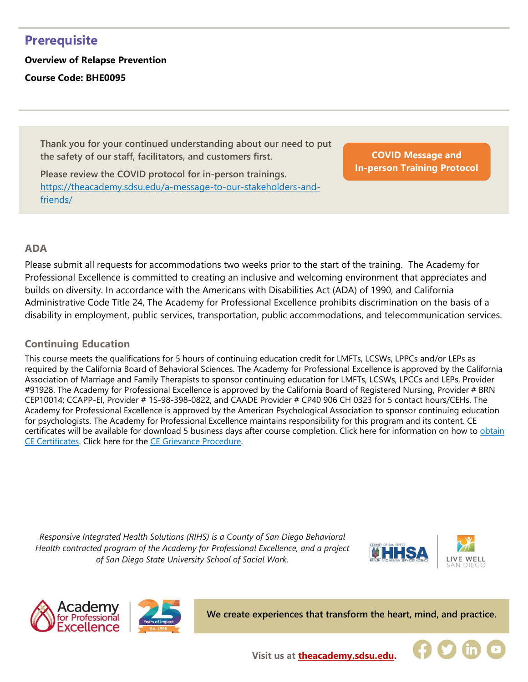## **Prerequisite**

**Overview of Relapse Prevention Course Code: BHE0095**

> **Thank you for your continued understanding about our need to put the safety of our staff, facilitators, and customers first.**

**Please review the COVID protocol for in-person trainings.**  [https://theacademy.sdsu.edu/a-message-to-our-stakeholders-and](https://theacademy.sdsu.edu/a-message-to-our-stakeholders-and-friends/)[friends/](https://theacademy.sdsu.edu/a-message-to-our-stakeholders-and-friends/)

**COVID Message and [In-person Training Protocol](https://theacademy.sdsu.edu/a-message-to-our-stakeholders-and-friends/)**

#### **ADA**

Please submit all requests for accommodations two weeks prior to the start of the training. The Academy for Professional Excellence is committed to creating an inclusive and welcoming environment that appreciates and builds on diversity. In accordance with the Americans with Disabilities Act (ADA) of 1990, and California Administrative Code Title 24, The Academy for Professional Excellence prohibits discrimination on the basis of a disability in employment, public services, transportation, public accommodations, and telecommunication services.

#### **Continuing Education**

This course meets the qualifications for 5 hours of continuing education credit for LMFTs, LCSWs, LPPCs and/or LEPs as required by the California Board of Behavioral Sciences. The Academy for Professional Excellence is approved by the California Association of Marriage and Family Therapists to sponsor continuing education for LMFTs, LCSWs, LPCCs and LEPs, Provider #91928. The Academy for Professional Excellence is approved by the California Board of Registered Nursing, Provider # BRN CEP10014; CCAPP-EI, Provider # 1S-98-398-0822, and CAADE Provider # CP40 906 CH 0323 for 5 contact hours/CEHs. The Academy for Professional Excellence is approved by the American Psychological Association to sponsor continuing education for psychologists. The Academy for Professional Excellence maintains responsibility for this program and its content. CE certificates will be available for download 5 business days after course completion. Click here for information on how to obtain [CE Certificates.](https://theacademy.sdsu.edu/programs/rihs/rihs-faq/) Click here for the [CE Grievance Procedure.](https://drive.google.com/file/d/10H4zN0gLatK2hP5SJpe0HTZkZpYm8GRj/view)

*Responsive Integrated Health Solutions (RIHS) is a County of San Diego Behavioral Health contracted program of the Academy for Professional Excellence, and a project of San Diego State University School of Social Work.*







**We create experiences that transform the heart, mind, and practice.**



**Visit us at [theacademy.sdsu.edu.](https://theacademy.sdsu.edu/)**